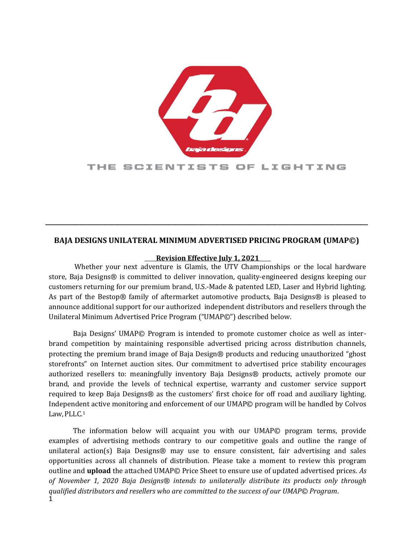

## THE SCIENTISTS OF LIGHTING

# **BAJA DESIGNS UNILATERAL MINIMUM ADVERTISED PRICING PROGRAM (UMAP©)**

**\_\_\_\_\_\_\_\_\_\_\_\_\_\_\_\_\_\_\_\_\_\_\_\_\_\_\_\_\_\_\_\_\_\_\_\_\_\_\_\_\_\_\_\_\_\_\_\_\_\_\_\_\_\_\_\_\_\_\_\_\_\_\_\_\_\_\_\_\_\_\_\_\_\_\_\_\_\_\_\_\_\_\_\_\_\_\_\_\_\_\_\_\_\_\_\_\_\_\_\_\_\_\_\_\_\_\_** 

#### **Revision Effective July 1, 2021**

Whether your next adventure is Glamis, the UTV Championships or the local hardware store, Baja Designs® is committed to deliver innovation, quality-engineered designs keeping our customers returning for our premium brand, U.S.-Made & patented LED, Laser and Hybrid lighting. As part of the Bestop® family of aftermarket automotive products, Baja Designs® is pleased to announce additional support for our authorized independent distributors and resellers through the Unilateral Minimum Advertised Price Program ("UMAP©") described below.

Baja Designs' UMAP© Program is intended to promote customer choice as well as interbrand competition by maintaining responsible advertised pricing across distribution channels, protecting the premium brand image of Baja Design® products and reducing unauthorized "ghost storefronts" on Internet auction sites. Our commitment to advertised price stability encourages authorized resellers to: meaningfully inventory Baja Designs® products, actively promote our brand, and provide the levels of technical expertise, warranty and customer service support required to keep Baja Designs® as the customers' first choice for off road and auxiliary lighting. Independent active monitoring and enforcement of our UMAP© program will be handled by Colvos Law,PLLC.<sup>1</sup>

1 The information below will acquaint you with our UMAP© program terms, provide examples of advertising methods contrary to our competitive goals and outline the range of unilateral action(s) Baja Designs® may use to ensure consistent, fair advertising and sales opportunities across all channels of distribution. Please take a moment to review this program outline and **upload** the attached UMAP© Price Sheet to ensure use of updated advertised prices. *As of November 1, 2020 Baja Designs® intends to unilaterally distribute its products only through qualified distributors and resellers who are committed to the success of our UMAP© Program*.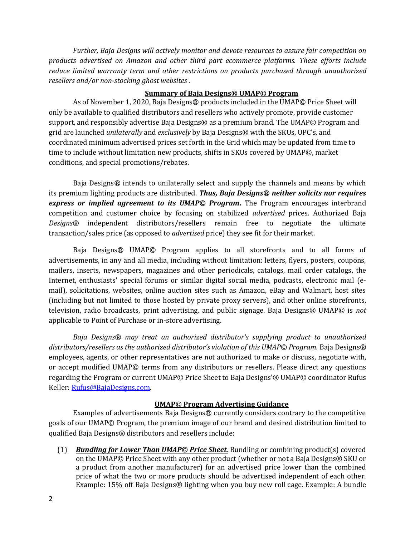*Further, Baja Designs will actively monitor and devote resources to assure fair competition on products advertised on Amazon and other third part ecommerce platforms. These efforts include reduce limited warranty term and other restrictions on products purchased through unauthorized resellers and/or non-stocking ghost websites .*

#### **Summary of Baja Designs® UMAP© Program**

As of November 1, 2020, Baja Designs® products included in the UMAP© Price Sheet will only be available to qualified distributors and resellers who actively promote, provide customer support, and responsibly advertise Baja Designs® as a premium brand. The UMAP© Program and grid are launched *unilaterally* and *exclusively* by Baja Designs® with the SKUs, UPC's, and coordinated minimum advertised prices set forth in the Grid which may be updated from time to time to include without limitation new products, shifts in SKUs covered by UMAP©, market conditions, and special promotions/rebates.

Baja Designs*®* intends to unilaterally select and supply the channels and means by which its premium lighting products are distributed. *Thus, Baja Designs® neither solicits nor requires express or implied agreement to its UMAP© Program***.** The Program encourages interbrand competition and customer choice by focusing on stabilized *advertised* prices*.* Authorized Baja *Designs®* independent distributors/resellers remain free to negotiate the ultimate transaction/sales price (as opposed to *advertised* price) they see fit for their market.

Baja Designs® UMAP© Program applies to all storefronts and to all forms of advertisements, in any and all media, including without limitation: letters, flyers, posters, coupons, mailers, inserts, newspapers, magazines and other periodicals, catalogs, mail order catalogs, the Internet, enthusiasts' special forums or similar digital social media, podcasts, electronic mail (email), solicitations, websites, online auction sites such as Amazon, eBay and Walmart, host sites (including but not limited to those hosted by private proxy servers), and other online storefronts, television, radio broadcasts, print advertising, and public signage. Baja Designs® UMAP© is *not*  applicable to Point of Purchase or in-store advertising.

*Baja Designs® may treat an authorized distributor's supplying product to unauthorized distributors/resellers as the authorized distributor's violation of this UMAP© Program.* Baja Designs® employees, agents, or other representatives are not authorized to make or discuss, negotiate with, or accept modified UMAP© terms from any distributors or resellers. Please direct any questions regarding the Program or current UMAP© Price Sheet to Baja Designs'® UMAP© coordinator Rufus Keller[: Rufus@BajaDesigns.com.](mailto:Rufus@BajaDesigns.com)

## **UMAP© Program Advertising Guidance**

Examples of advertisements Baja Designs® currently considers contrary to the competitive goals of our UMAP© Program, the premium image of our brand and desired distribution limited to qualified Baja Designs® distributors and resellers include:

(1) *Bundling for Lower Than UMAP© Price Sheet.* Bundling or combining product(s) covered on the UMAP© Price Sheet with any other product (whether or not a Baja Designs® SKU or a product from another manufacturer) for an advertised price lower than the combined price of what the two or more products should be advertised independent of each other. Example: 15% off Baja Designs® lighting when you buy new roll cage. Example: A bundle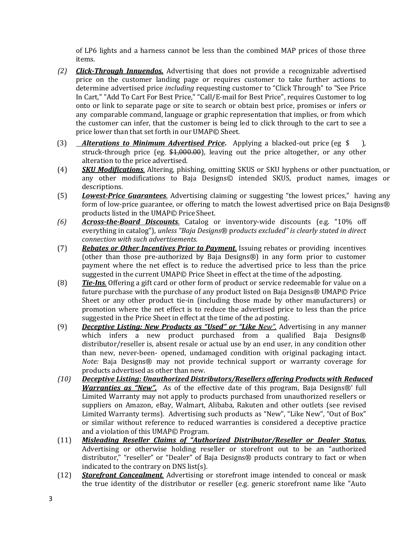of LP6 lights and a harness cannot be less than the combined MAP prices of those three items.

- *(2) Click-Through Innuendos.* Advertising that does not provide a recognizable advertised price on the customer landing page or requires customer to take further actions to determine advertised price *including* requesting customer to "Click Through" to "See Price In Cart," "Add To Cart For Best Price," "Call/E-mail for Best Price", requires Customer to log onto or link to separate page or site to search or obtain best price, promises or infers or any comparable command, language or graphic representation that implies, or from which the customer can infer, that the customer is being led to click through to the cart to see a price lower than that set forth in our UMAP© Sheet.
- (3) *Alterations to Minimum Advertised Price***.** Applying a blacked-out price (eg \$ ), struck-through price (eg. \$1,000.00), leaving out the price altogether, or any other alteration to the price advertised.
- (4) *SKU Modifications.* Altering, phishing, omitting SKUS or SKU hyphens or other punctuation, or any other modifications to Baja Designs© intended SKUS, product names, images or descriptions.
- (5) *Lowest-Price Guarantees.* Advertising claiming or suggesting "the lowest prices," having any form of low-price guarantee, or offering to match the lowest advertised price on Baja Designs® products listed in the UMAP© Price Sheet.
- *(6) Across-the-Board Discounts.* Catalog or inventory-wide discounts (e.g. "10% off everything in catalog"), *unless "Baja Designs*® p*roducts excluded" is clearly stated in direct connection with such advertisements.*
- (7) *Rebates or Other Incentives Prior to Payment.* Issuing rebates or providing incentives (other than those pre-authorized by Baja Designs®) in any form prior to customer payment where the net effect is to reduce the advertised price to less than the price suggested in the current UMAP© Price Sheet in effect at the time of the adposting.
- (8) *Tie-Ins.* Offering a gift card or other form of product or service redeemable for value on a future purchase with the purchase of any product listed on Baja Designs® UMAP© Price Sheet or any other product tie-in (including those made by other manufacturers) or promotion where the net effect is to reduce the advertised price to less than the price suggested in the Price Sheet in effect at the time of the ad posting.
- (9) *Deceptive Listing: New Products as "Used" or "Like New".* Advertising in any manner which infers a new product purchased from a qualified Baja Designs® distributor/reseller is, absent resale or actual use by an end user, in any condition other than new, never-been- opened, undamaged condition with original packaging intact. *Note:* Baja Designs® may not provide technical support or warranty coverage for products advertised as other than new.
- *(10) Deceptive Listing: Unauthorized Distributors/Resellers offering Products with Reduced Warranties as "New".* As of the effective date of this program, Baja Designs®' full Limited Warranty may not apply to products purchased from unauthorized resellers or suppliers on Amazon, eBay, Walmart, Alibaba, Rakuten and other outlets (see revised Limited Warranty terms). Advertising such products as "New", "Like New", "Out of Box" or similar without reference to reduced warranties is considered a deceptive practice and a violation of this UMAP© Program.
- (11) *Misleading Reseller Claims of "Authorized Distributor/Reseller or Dealer Status.* Advertising or otherwise holding reseller or storefront out to be an "authorized distributor," "reseller" or "Dealer" of Baja Designs® products contrary to fact or when indicated to the contrary on DNS list(s).
- (12) *Storefront Concealment.* Advertising or storefront image intended to conceal or mask the true identity of the distributor or reseller (e.g. generic storefront name like "Auto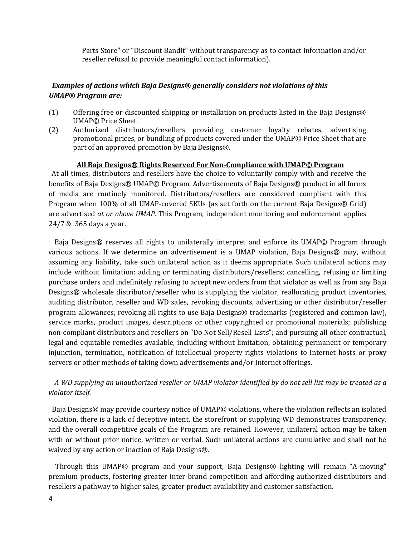Parts Store" or "Discount Bandit" without transparency as to contact information and/or reseller refusal to provide meaningful contactinformation).

## *Examples of actions which Baja Designs® generally considers not violations of this UMAP® Program are:*

- (1) Offering free or discounted shipping or installation on products listed in the Baja Designs® UMAP© Price Sheet.
- (2) Authorized distributors/resellers providing customer loyalty rebates, advertising promotional prices, or bundling of products covered under the UMAP© Price Sheet that are part of an approved promotion by Baja Designs®.

#### **All Baja Designs® Rights Reserved For Non-Compliance with UMAP© Program**

 At all times, distributors and resellers have the choice to voluntarily comply with and receive the benefits of Baja Designs® UMAP© Program. Advertisements of Baja Designs® product in all forms of media are routinely monitored. Distributors/resellers are considered compliant with this Program when 100% of all UMAP-covered SKUs (as set forth on the current Baja Designs® Grid) are advertised *at or above UMAP*. This Program, independent monitoring and enforcement applies 24/7 & 365 days a year.

Baja Designs® reserves all rights to unilaterally interpret and enforce its UMAP© Program through various actions. If we determine an advertisement is a UMAP violation, Baja Designs® may, without assuming any liability, take such unilateral action as it deems appropriate. Such unilateral actions may include without limitation: adding or terminating distributors/resellers; cancelling, refusing or limiting purchase orders and indefinitely refusing to accept new orders from that violator as well as from any Baja Designs® wholesale distributor/reseller who is supplying the violator, reallocating product inventories, auditing distributor, reseller and WD sales, revoking discounts, advertising or other distributor/reseller program allowances; revoking all rights to use Baja Designs® trademarks (registered and common law), service marks, product images, descriptions or other copyrighted or promotional materials; publishing non-compliant distributors and resellers on "Do Not Sell/Resell Lists"; and pursuing all other contractual, legal and equitable remedies available, including without limitation, obtaining permanent or temporary injunction, termination, notification of intellectual property rights violations to Internet hosts or proxy servers or other methods of taking down advertisements and/or Internet offerings.

## *A WD supplying an unauthorized reseller or UMAP violator identified by do not sell list may be treated as a violator itself.*

Baja Designs® may provide courtesy notice of UMAP© violations, where the violation reflects an isolated violation, there is a lack of deceptive intent, the storefront or supplying WD demonstrates transparency, and the overall competitive goals of the Program are retained. However, unilateral action may be taken with or without prior notice, written or verbal. Such unilateral actions are cumulative and shall not be waived by any action or inaction of Baja Designs®.

 Through this UMAP© program and your support, Baja Designs® lighting will remain "A-moving" premium products, fostering greater inter-brand competition and affording authorized distributors and resellers a pathway to higher sales, greater product availability and customer satisfaction.